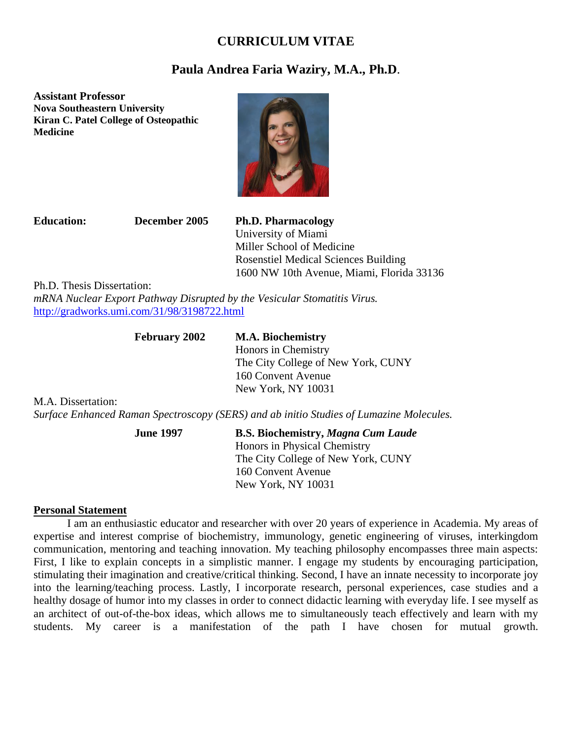## **CURRICULUM VITAE**

# **Paula Andrea Faria Waziry, M.A., Ph.D**.

**Assistant Professor Nova Southeastern University Kiran C. Patel College of Osteopathic Medicine**



**Education: December 2005 Ph.D. Pharmacology** University of Miami Miller School of Medicine Rosenstiel Medical Sciences Building 1600 NW 10th Avenue, Miami, Florida 33136

Ph.D. Thesis Dissertation:

*mRNA Nuclear Export Pathway Disrupted by the Vesicular Stomatitis Virus.* <http://gradworks.umi.com/31/98/3198722.html>

# **February 2002 M.A. Biochemistry**

Honors in Chemistry The City College of New York, CUNY 160 Convent Avenue New York, NY 10031

M.A. Dissertation:

*Surface Enhanced Raman Spectroscopy (SERS) and ab initio Studies of Lumazine Molecules.*

**June 1997 B.S. Biochemistry,** *Magna Cum Laude* Honors in Physical Chemistry The City College of New York, CUNY 160 Convent Avenue New York, NY 10031

#### **Personal Statement**

I am an enthusiastic educator and researcher with over 20 years of experience in Academia. My areas of expertise and interest comprise of biochemistry, immunology, genetic engineering of viruses, interkingdom communication, mentoring and teaching innovation. My teaching philosophy encompasses three main aspects: First, I like to explain concepts in a simplistic manner. I engage my students by encouraging participation, stimulating their imagination and creative/critical thinking. Second, I have an innate necessity to incorporate joy into the learning/teaching process. Lastly, I incorporate research, personal experiences, case studies and a healthy dosage of humor into my classes in order to connect didactic learning with everyday life. I see myself as an architect of out-of-the-box ideas, which allows me to simultaneously teach effectively and learn with my students. My career is a manifestation of the path I have chosen for mutual growth.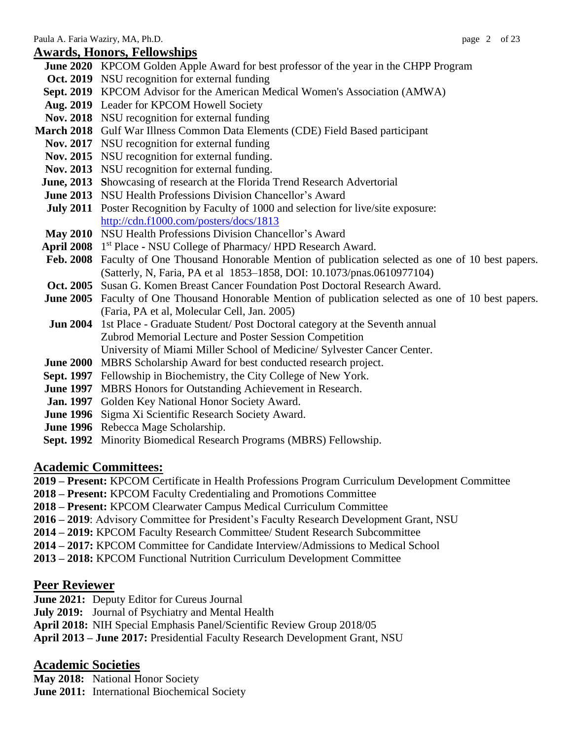## **Awards, Honors, Fellowships**

**June 2020** KPCOM Golden Apple Award for best professor of the year in the CHPP Program **Oct. 2019** NSU recognition for external funding **Sept. 2019** KPCOM Advisor for the American Medical Women's Association (AMWA) **Aug. 2019** Leader for KPCOM Howell Society **Nov. 2018** NSU recognition for external funding **March 2018** Gulf War Illness Common Data Elements (CDE) Field Based participant **Nov. 2017** NSU recognition for external funding Nov. 2015 NSU recognition for external funding. **Nov. 2013** NSU recognition for external funding. **June, 2013 S**howcasing of research at the Florida Trend Research Advertorial **June 2013** NSU Health Professions Division Chancellor's Award **July 2011** Poster Recognition by Faculty of 1000 and selection for live/site exposure: <http://cdn.f1000.com/posters/docs/1813> **May 2010** NSU Health Professions Division Chancellor's Award April 2008 1<sup>st</sup> Place - NSU College of Pharmacy/ HPD Research Award. **Feb. 2008** Faculty of One Thousand Honorable Mention of publication selected as one of 10 best papers. (Satterly, N, Faria, PA et al 1853–1858, DOI: 10.1073/pnas.0610977104) **Oct. 2005** Susan G. Komen Breast Cancer Foundation Post Doctoral Research Award. **June 2005** Faculty of One Thousand Honorable Mention of publication selected as one of 10 best papers. (Faria, PA et al, Molecular Cell, Jan. 2005) **Jun 2004** 1st Place - Graduate Student/ Post Doctoral category at the Seventh annual Zubrod Memorial Lecture and Poster Session Competition University of Miami Miller School of Medicine/ Sylvester Cancer Center. **June 2000** MBRS Scholarship Award for best conducted research project. **Sept. 1997** Fellowship in Biochemistry, the City College of New York. **June 1997** MBRS Honors for Outstanding Achievement in Research. **Jan. 1997** Golden Key National Honor Society Award. **June 1996** Sigma Xi Scientific Research Society Award. **June 1996** Rebecca Mage Scholarship. **Sept. 1992** Minority Biomedical Research Programs (MBRS) Fellowship.

## **Academic Committees:**

**2019 – Present:** KPCOM Certificate in Health Professions Program Curriculum Development Committee

- **2018 – Present:** KPCOM Faculty Credentialing and Promotions Committee
- **2018 – Present:** KPCOM Clearwater Campus Medical Curriculum Committee
- **2016 – 2019**: Advisory Committee for President's Faculty Research Development Grant, NSU
- **2014 – 2019:** KPCOM Faculty Research Committee/ Student Research Subcommittee
- **2014 – 2017:** KPCOM Committee for Candidate Interview/Admissions to Medical School
- **2013 – 2018:** KPCOM Functional Nutrition Curriculum Development Committee

## **Peer Reviewer**

**June 2021:** Deputy Editor for Cureus Journal

**July 2019:** Journal of Psychiatry and Mental Health

**April 2018:** NIH Special Emphasis Panel/Scientific Review Group 2018/05

**April 2013 – June 2017:** Presidential Faculty Research Development Grant, NSU

## **Academic Societies**

**May 2018:** National Honor Society **June 2011:** International Biochemical Society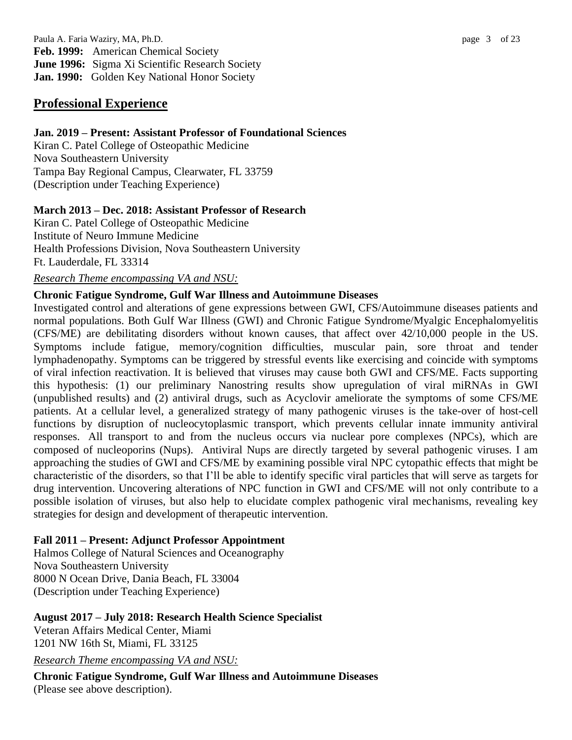Paula A. Faria Waziry, MA, Ph.D. page 3 of 23 **Feb. 1999:** American Chemical Society **June 1996:** Sigma Xi Scientific Research Society **Jan. 1990:** Golden Key National Honor Society

## **Professional Experience**

#### **Jan. 2019 – Present: Assistant Professor of Foundational Sciences**

Kiran C. Patel College of Osteopathic Medicine Nova Southeastern University Tampa Bay Regional Campus, Clearwater, FL 33759 (Description under Teaching Experience)

#### **March 2013 – Dec. 2018: Assistant Professor of Research**

Kiran C. Patel College of Osteopathic Medicine Institute of Neuro Immune Medicine Health Professions Division, Nova Southeastern University Ft. Lauderdale, FL 33314

#### *Research Theme encompassing VA and NSU:*

#### **Chronic Fatigue Syndrome, Gulf War Illness and Autoimmune Diseases**

Investigated control and alterations of gene expressions between GWI, CFS/Autoimmune diseases patients and normal populations. Both Gulf War Illness (GWI) and Chronic Fatigue Syndrome/Myalgic Encephalomyelitis (CFS/ME) are debilitating disorders without known causes, that affect over 42/10,000 people in the US. Symptoms include fatigue, memory/cognition difficulties, muscular pain, sore throat and tender lymphadenopathy. Symptoms can be triggered by stressful events like exercising and coincide with symptoms of viral infection reactivation. It is believed that viruses may cause both GWI and CFS/ME. Facts supporting this hypothesis: (1) our preliminary Nanostring results show upregulation of viral miRNAs in GWI (unpublished results) and (2) antiviral drugs, such as Acyclovir ameliorate the symptoms of some CFS/ME patients. At a cellular level, a generalized strategy of many pathogenic viruses is the take-over of host-cell functions by disruption of nucleocytoplasmic transport, which prevents cellular innate immunity antiviral responses. All transport to and from the nucleus occurs via nuclear pore complexes (NPCs), which are composed of nucleoporins (Nups). Antiviral Nups are directly targeted by several pathogenic viruses. I am approaching the studies of GWI and CFS/ME by examining possible viral NPC cytopathic effects that might be characteristic of the disorders, so that I'll be able to identify specific viral particles that will serve as targets for drug intervention. Uncovering alterations of NPC function in GWI and CFS/ME will not only contribute to a possible isolation of viruses, but also help to elucidate complex pathogenic viral mechanisms, revealing key strategies for design and development of therapeutic intervention.

#### **Fall 2011 – Present: Adjunct Professor Appointment**

Halmos College of Natural Sciences and Oceanography Nova Southeastern University 8000 N Ocean Drive, Dania Beach, FL 33004 (Description under Teaching Experience)

## **August 2017 – July 2018: Research Health Science Specialist**

Veteran Affairs Medical Center, Miami 1201 NW 16th St, Miami, FL 33125

*Research Theme encompassing VA and NSU:*

**Chronic Fatigue Syndrome, Gulf War Illness and Autoimmune Diseases** (Please see above description).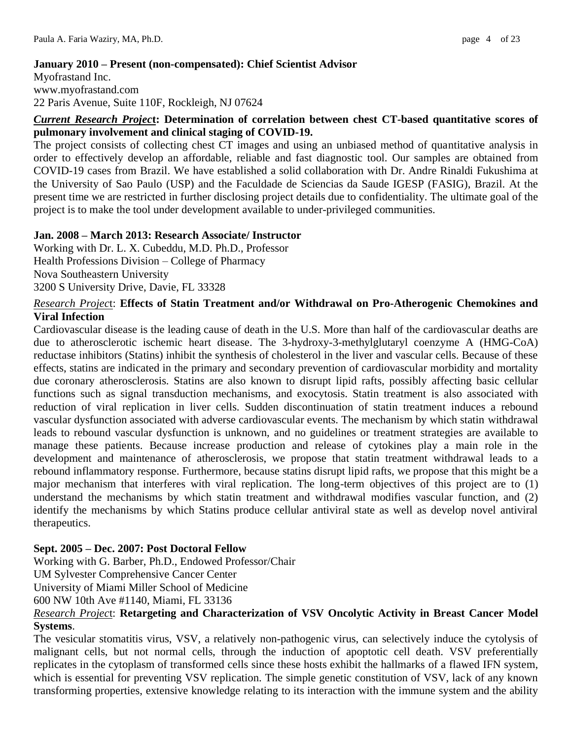## **January 2010 – Present (non-compensated): Chief Scientist Advisor**

Myofrastand Inc. www.myofrastand.com 22 Paris Avenue, Suite 110F, Rockleigh, NJ 07624

#### *Current Research Projec***t: Determination of correlation between chest CT-based quantitative scores of pulmonary involvement and clinical staging of COVID-19.**

The project consists of collecting chest CT images and using an unbiased method of quantitative analysis in order to effectively develop an affordable, reliable and fast diagnostic tool. Our samples are obtained from COVID-19 cases from Brazil. We have established a solid collaboration with Dr. Andre Rinaldi Fukushima at the University of Sao Paulo (USP) and the Faculdade de Sciencias da Saude IGESP (FASIG), Brazil. At the present time we are restricted in further disclosing project details due to confidentiality. The ultimate goal of the project is to make the tool under development available to under-privileged communities.

## **Jan. 2008 – March 2013: Research Associate/ Instructor**

Working with Dr. L. X. Cubeddu, M.D. Ph.D., Professor Health Professions Division – College of Pharmacy Nova Southeastern University 3200 S University Drive, Davie, FL 33328

## *Research Projec*t: **Effects of Statin Treatment and/or Withdrawal on Pro-Atherogenic Chemokines and Viral Infection**

Cardiovascular disease is the leading cause of death in the U.S. More than half of the cardiovascular deaths are due to atherosclerotic ischemic heart disease. The 3-hydroxy-3-methylglutaryl coenzyme A (HMG-CoA) reductase inhibitors (Statins) inhibit the synthesis of cholesterol in the liver and vascular cells. Because of these effects, statins are indicated in the primary and secondary prevention of cardiovascular morbidity and mortality due coronary atherosclerosis. Statins are also known to disrupt lipid rafts, possibly affecting basic cellular functions such as signal transduction mechanisms, and exocytosis. Statin treatment is also associated with reduction of viral replication in liver cells. Sudden discontinuation of statin treatment induces a rebound vascular dysfunction associated with adverse cardiovascular events. The mechanism by which statin withdrawal leads to rebound vascular dysfunction is unknown, and no guidelines or treatment strategies are available to manage these patients. Because increase production and release of cytokines play a main role in the development and maintenance of atherosclerosis, we propose that statin treatment withdrawal leads to a rebound inflammatory response. Furthermore, because statins disrupt lipid rafts, we propose that this might be a major mechanism that interferes with viral replication. The long-term objectives of this project are to (1) understand the mechanisms by which statin treatment and withdrawal modifies vascular function, and (2) identify the mechanisms by which Statins produce cellular antiviral state as well as develop novel antiviral therapeutics.

## **Sept. 2005 – Dec. 2007: Post Doctoral Fellow**

Working with G. Barber, Ph.D., Endowed Professor/Chair

UM Sylvester Comprehensive Cancer Center

University of Miami Miller School of Medicine

600 NW 10th Ave #1140, Miami, FL 33136

## *Research Projec*t: **Retargeting and Characterization of VSV Oncolytic Activity in Breast Cancer Model Systems**.

The vesicular stomatitis virus, VSV, a relatively non-pathogenic virus, can selectively induce the cytolysis of malignant cells, but not normal cells, through the induction of apoptotic cell death. VSV preferentially replicates in the cytoplasm of transformed cells since these hosts exhibit the hallmarks of a flawed IFN system, which is essential for preventing VSV replication. The simple genetic constitution of VSV, lack of any known transforming properties, extensive knowledge relating to its interaction with the immune system and the ability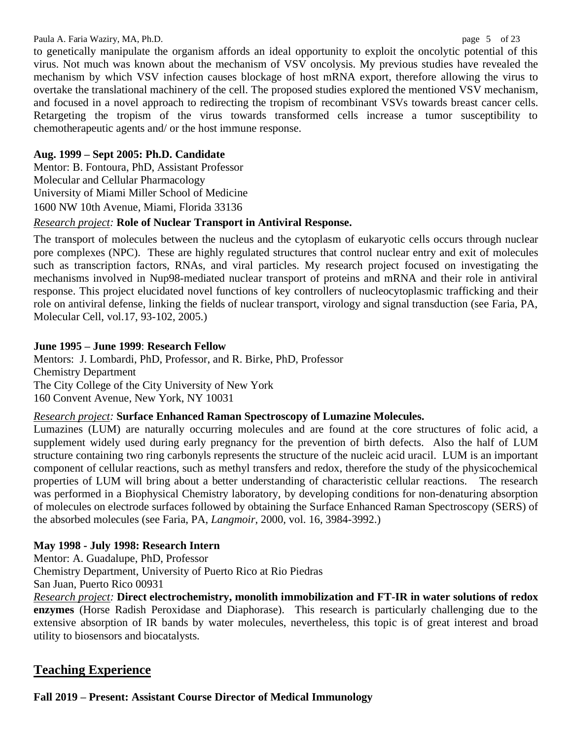#### Paula A. Faria Waziry, MA, Ph.D. page 5 of 23

to genetically manipulate the organism affords an ideal opportunity to exploit the oncolytic potential of this virus. Not much was known about the mechanism of VSV oncolysis. My previous studies have revealed the mechanism by which VSV infection causes blockage of host mRNA export, therefore allowing the virus to overtake the translational machinery of the cell. The proposed studies explored the mentioned VSV mechanism, and focused in a novel approach to redirecting the tropism of recombinant VSVs towards breast cancer cells. Retargeting the tropism of the virus towards transformed cells increase a tumor susceptibility to chemotherapeutic agents and/ or the host immune response.

## **Aug. 1999 – Sept 2005: Ph.D. Candidate**

Mentor: B. Fontoura, PhD, Assistant Professor Molecular and Cellular Pharmacology University of Miami Miller School of Medicine 1600 NW 10th Avenue, Miami, Florida 33136

## *Research project:* **Role of Nuclear Transport in Antiviral Response.**

The transport of molecules between the nucleus and the cytoplasm of eukaryotic cells occurs through nuclear pore complexes (NPC). These are highly regulated structures that control nuclear entry and exit of molecules such as transcription factors, RNAs, and viral particles. My research project focused on investigating the mechanisms involved in Nup98-mediated nuclear transport of proteins and mRNA and their role in antiviral response. This project elucidated novel functions of key controllers of nucleocytoplasmic trafficking and their role on antiviral defense, linking the fields of nuclear transport, virology and signal transduction (see Faria, PA, Molecular Cell, vol.17, 93-102, 2005.)

## **June 1995 – June 1999**: **Research Fellow**

Mentors: J. Lombardi, PhD, Professor, and R. Birke, PhD, Professor Chemistry Department The City College of the City University of New York 160 Convent Avenue, New York, NY 10031

## *Research project:* **Surface Enhanced Raman Spectroscopy of Lumazine Molecules.**

Lumazines (LUM) are naturally occurring molecules and are found at the core structures of folic acid, a supplement widely used during early pregnancy for the prevention of birth defects. Also the half of LUM structure containing two ring carbonyls represents the structure of the nucleic acid uracil. LUM is an important component of cellular reactions, such as methyl transfers and redox, therefore the study of the physicochemical properties of LUM will bring about a better understanding of characteristic cellular reactions. The research was performed in a Biophysical Chemistry laboratory, by developing conditions for non-denaturing absorption of molecules on electrode surfaces followed by obtaining the Surface Enhanced Raman Spectroscopy (SERS) of the absorbed molecules (see Faria, PA, *Langmoir*, 2000, vol. 16, 3984-3992.)

## **May 1998 - July 1998: Research Intern**

Mentor: A. Guadalupe, PhD, Professor Chemistry Department, University of Puerto Rico at Rio Piedras San Juan, Puerto Rico 00931

*Research project:* **Direct electrochemistry, monolith immobilization and FT-IR in water solutions of redox enzymes** (Horse Radish Peroxidase and Diaphorase). This research is particularly challenging due to the extensive absorption of IR bands by water molecules, nevertheless, this topic is of great interest and broad utility to biosensors and biocatalysts.

# **Teaching Experience**

**Fall 2019 – Present: Assistant Course Director of Medical Immunology**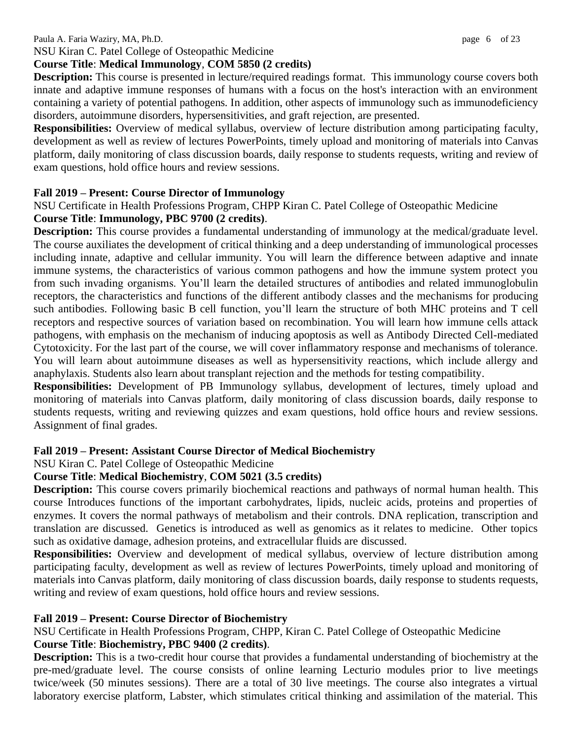#### Paula A. Faria Waziry, MA, Ph.D. page 6 of 23

#### NSU Kiran C. Patel College of Osteopathic Medicine **Course Title**: **Medical Immunology**, **COM 5850 (2 credits)**

**Description:** This course is presented in lecture/required readings format. This immunology course covers both innate and adaptive immune responses of humans with a focus on the host's interaction with an environment containing a variety of potential pathogens. In addition, other aspects of immunology such as immunodeficiency disorders, autoimmune disorders, hypersensitivities, and graft rejection, are presented.

**Responsibilities:** Overview of medical syllabus, overview of lecture distribution among participating faculty, development as well as review of lectures PowerPoints, timely upload and monitoring of materials into Canvas platform, daily monitoring of class discussion boards, daily response to students requests, writing and review of exam questions, hold office hours and review sessions.

#### **Fall 2019 – Present: Course Director of Immunology**

NSU Certificate in Health Professions Program, CHPP Kiran C. Patel College of Osteopathic Medicine **Course Title**: **Immunology, PBC 9700 (2 credits)**.

**Description:** This course provides a fundamental understanding of immunology at the medical/graduate level. The course auxiliates the development of critical thinking and a deep understanding of immunological processes including innate, adaptive and cellular immunity. You will learn the difference between adaptive and innate immune systems, the characteristics of various common pathogens and how the immune system protect you from such invading organisms. You'll learn the detailed structures of antibodies and related immunoglobulin receptors, the characteristics and functions of the different antibody classes and the mechanisms for producing such antibodies. Following basic B cell function, you'll learn the structure of both MHC proteins and T cell receptors and respective sources of variation based on recombination. You will learn how immune cells attack pathogens, with emphasis on the mechanism of inducing apoptosis as well as Antibody Directed Cell-mediated Cytotoxicity. For the last part of the course, we will cover inflammatory response and mechanisms of tolerance. You will learn about autoimmune diseases as well as hypersensitivity reactions, which include allergy and anaphylaxis. Students also learn about transplant rejection and the methods for testing compatibility.

**Responsibilities:** Development of PB Immunology syllabus, development of lectures, timely upload and monitoring of materials into Canvas platform, daily monitoring of class discussion boards, daily response to students requests, writing and reviewing quizzes and exam questions, hold office hours and review sessions. Assignment of final grades.

#### **Fall 2019 – Present: Assistant Course Director of Medical Biochemistry**

NSU Kiran C. Patel College of Osteopathic Medicine

## **Course Title**: **Medical Biochemistry**, **COM 5021 (3.5 credits)**

**Description:** This course covers primarily biochemical reactions and pathways of normal human health. This course Introduces functions of the important carbohydrates, lipids, nucleic acids, proteins and properties of enzymes. It covers the normal pathways of metabolism and their controls. DNA replication, transcription and translation are discussed. Genetics is introduced as well as genomics as it relates to medicine. Other topics such as oxidative damage, adhesion proteins, and extracellular fluids are discussed.

**Responsibilities:** Overview and development of medical syllabus, overview of lecture distribution among participating faculty, development as well as review of lectures PowerPoints, timely upload and monitoring of materials into Canvas platform, daily monitoring of class discussion boards, daily response to students requests, writing and review of exam questions, hold office hours and review sessions.

#### **Fall 2019 – Present: Course Director of Biochemistry**

NSU Certificate in Health Professions Program, CHPP, Kiran C. Patel College of Osteopathic Medicine **Course Title**: **Biochemistry, PBC 9400 (2 credits)**.

**Description:** This is a two-credit hour course that provides a fundamental understanding of biochemistry at the pre-med/graduate level. The course consists of online learning Lecturio modules prior to live meetings twice/week (50 minutes sessions). There are a total of 30 live meetings. The course also integrates a virtual laboratory exercise platform, Labster, which stimulates critical thinking and assimilation of the material. This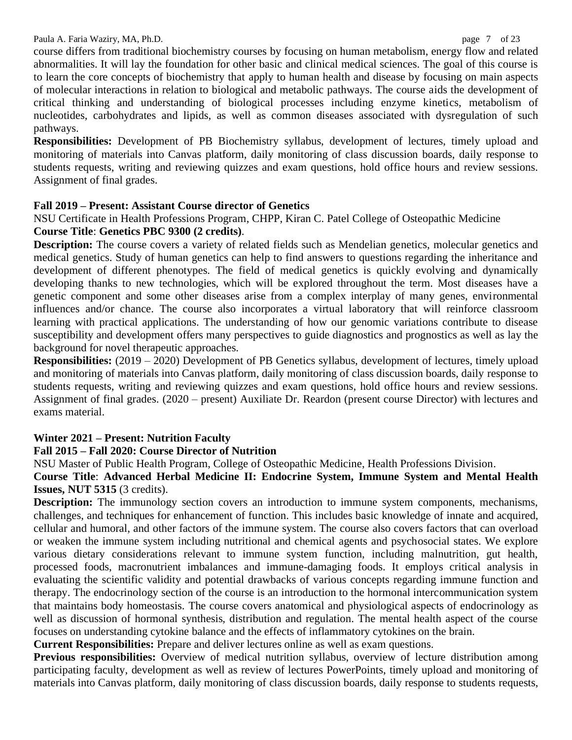course differs from traditional biochemistry courses by focusing on human metabolism, energy flow and related abnormalities. It will lay the foundation for other basic and clinical medical sciences. The goal of this course is to learn the core concepts of biochemistry that apply to human health and disease by focusing on main aspects of molecular interactions in relation to biological and metabolic pathways. The course aids the development of critical thinking and understanding of biological processes including enzyme kinetics, metabolism of nucleotides, carbohydrates and lipids, as well as common diseases associated with dysregulation of such pathways.

**Responsibilities:** Development of PB Biochemistry syllabus, development of lectures, timely upload and monitoring of materials into Canvas platform, daily monitoring of class discussion boards, daily response to students requests, writing and reviewing quizzes and exam questions, hold office hours and review sessions. Assignment of final grades.

## **Fall 2019 – Present: Assistant Course director of Genetics**

NSU Certificate in Health Professions Program, CHPP, Kiran C. Patel College of Osteopathic Medicine **Course Title**: **Genetics PBC 9300 (2 credits)**.

**Description:** The course covers a variety of related fields such as Mendelian genetics, molecular genetics and medical genetics. Study of human genetics can help to find answers to questions regarding the inheritance and development of different phenotypes. The field of medical genetics is quickly evolving and dynamically developing thanks to new technologies, which will be explored throughout the term. Most diseases have a genetic component and some other diseases arise from a complex interplay of many genes, environmental influences and/or chance. The course also incorporates a virtual laboratory that will reinforce classroom learning with practical applications. The understanding of how our genomic variations contribute to disease susceptibility and development offers many perspectives to guide diagnostics and prognostics as well as lay the background for novel therapeutic approaches.

**Responsibilities:** (2019 – 2020) Development of PB Genetics syllabus, development of lectures, timely upload and monitoring of materials into Canvas platform, daily monitoring of class discussion boards, daily response to students requests, writing and reviewing quizzes and exam questions, hold office hours and review sessions. Assignment of final grades. (2020 – present) Auxiliate Dr. Reardon (present course Director) with lectures and exams material.

## **Winter 2021 – Present: Nutrition Faculty**

## **Fall 2015 – Fall 2020: Course Director of Nutrition**

NSU Master of Public Health Program, College of Osteopathic Medicine, Health Professions Division.

#### **Course Title**: **Advanced Herbal Medicine II: Endocrine System, Immune System and Mental Health Issues, NUT 5315** (3 credits).

**Description:** The immunology section covers an introduction to immune system components, mechanisms, challenges, and techniques for enhancement of function. This includes basic knowledge of innate and acquired, cellular and humoral, and other factors of the immune system. The course also covers factors that can overload or weaken the immune system including nutritional and chemical agents and psychosocial states. We explore various dietary considerations relevant to immune system function, including malnutrition, gut health, processed foods, macronutrient imbalances and immune-damaging foods. It employs critical analysis in evaluating the scientific validity and potential drawbacks of various concepts regarding immune function and therapy. The endocrinology section of the course is an introduction to the hormonal intercommunication system that maintains body homeostasis. The course covers anatomical and physiological aspects of endocrinology as well as discussion of hormonal synthesis, distribution and regulation. The mental health aspect of the course focuses on understanding cytokine balance and the effects of inflammatory cytokines on the brain.

**Current Responsibilities:** Prepare and deliver lectures online as well as exam questions.

**Previous responsibilities:** Overview of medical nutrition syllabus, overview of lecture distribution among participating faculty, development as well as review of lectures PowerPoints, timely upload and monitoring of materials into Canvas platform, daily monitoring of class discussion boards, daily response to students requests,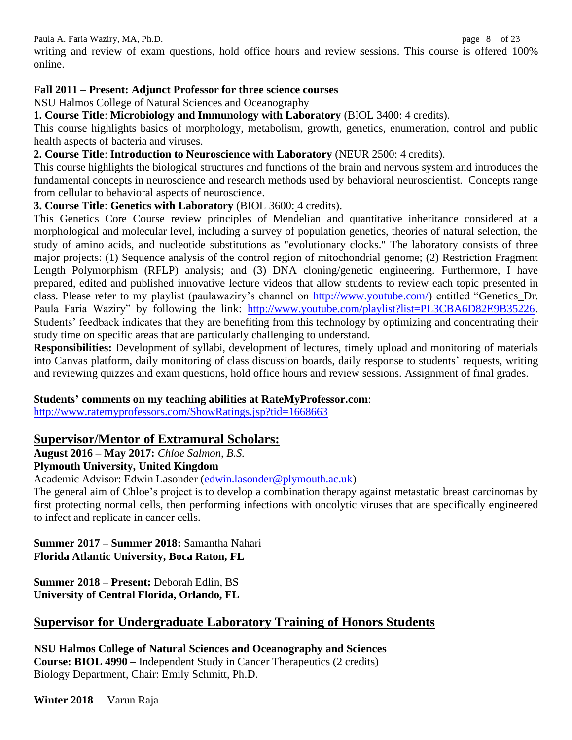Paula A. Faria Waziry, MA, Ph.D. **page 3** of 23

writing and review of exam questions, hold office hours and review sessions. This course is offered 100% online.

## **Fall 2011 – Present: Adjunct Professor for three science courses**

NSU Halmos College of Natural Sciences and Oceanography

**1. Course Title**: **Microbiology and Immunology with Laboratory** (BIOL 3400: 4 credits).

This course highlights basics of morphology, metabolism, growth, genetics, enumeration, control and public health aspects of bacteria and viruses.

## **2. Course Title**: **Introduction to Neuroscience with Laboratory** (NEUR 2500: 4 credits).

This course highlights the biological structures and functions of the brain and nervous system and introduces the fundamental concepts in neuroscience and research methods used by behavioral neuroscientist. Concepts range from cellular to behavioral aspects of neuroscience.

## **3. Course Title**: **Genetics with Laboratory** (BIOL 3600: 4 credits).

This Genetics Core Course review principles of Mendelian and quantitative inheritance considered at a morphological and molecular level, including a survey of population genetics, theories of natural selection, the study of amino acids, and nucleotide substitutions as "evolutionary clocks." The laboratory consists of three major projects: (1) Sequence analysis of the control region of mitochondrial genome; (2) Restriction Fragment Length Polymorphism (RFLP) analysis; and (3) DNA cloning/genetic engineering. Furthermore, I have prepared, edited and published innovative lecture videos that allow students to review each topic presented in class. Please refer to my playlist (paulawaziry's channel on [http://www.youtube.com/\)](http://www.youtube.com/) entitled "Genetics\_Dr. Paula Faria Waziry" by following the link: [http://www.youtube.com/playlist?list=PL3CBA6D82E9B35226.](http://www.youtube.com/playlist?list=PL3CBA6D82E9B35226) Students' feedback indicates that they are benefiting from this technology by optimizing and concentrating their study time on specific areas that are particularly challenging to understand.

**Responsibilities:** Development of syllabi, development of lectures, timely upload and monitoring of materials into Canvas platform, daily monitoring of class discussion boards, daily response to students' requests, writing and reviewing quizzes and exam questions, hold office hours and review sessions. Assignment of final grades.

## **Students' comments on my teaching abilities at RateMyProfessor.com**:

<http://www.ratemyprofessors.com/ShowRatings.jsp?tid=1668663>

# **Supervisor/Mentor of Extramural Scholars:**

**August 2016 – May 2017:** *Chloe Salmon, B.S.*

## **Plymouth University, United Kingdom**

Academic Advisor: Edwin Lasonder [\(edwin.lasonder@plymouth.ac.uk\)](mailto:edwin.lasonder@plymouth.ac.uk)

The general aim of Chloe's project is to develop a combination therapy against metastatic breast carcinomas by first protecting normal cells, then performing infections with oncolytic viruses that are specifically engineered to infect and replicate in cancer cells.

#### **Summer 2017 – Summer 2018:** Samantha Nahari **Florida Atlantic University, Boca Raton, FL**

**Summer 2018 – Present:** Deborah Edlin, BS **University of Central Florida, Orlando, FL**

# **Supervisor for Undergraduate Laboratory Training of Honors Students**

**NSU Halmos College of Natural Sciences and Oceanography and Sciences Course: BIOL 4990 –** Independent Study in Cancer Therapeutics (2 credits) Biology Department, Chair: Emily Schmitt, Ph.D.

**Winter 2018** – Varun Raja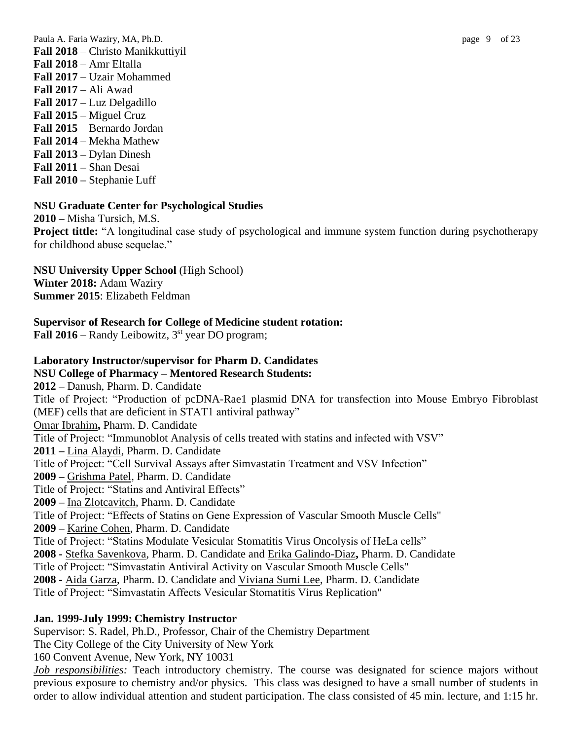Paula A. Faria Waziry, MA, Ph.D. **page 3** of 23 **Fall 2018** – Christo Manikkuttiyil **Fall 2018** – Amr Eltalla **Fall 2017** – Uzair Mohammed **Fall 2017** – Ali Awad **Fall 2017** – Luz Delgadillo **Fall 2015** – Miguel Cruz **Fall 2015** – Bernardo Jordan **Fall 2014** – Mekha Mathew **Fall 2013 –** Dylan Dinesh **Fall 2011 –** Shan Desai **Fall 2010 –** Stephanie Luff

#### **NSU Graduate Center for Psychological Studies**

**2010 –** Misha Tursich, M.S.

**Project tittle:** "A longitudinal case study of psychological and immune system function during psychotherapy for childhood abuse sequelae."

**NSU University Upper School** (High School) **Winter 2018:** Adam Waziry **Summer 2015**: Elizabeth Feldman

#### **Supervisor of Research for College of Medicine student rotation:**

Fall 2016 – Randy Leibowitz, 3<sup>st</sup> year DO program;

#### **Laboratory Instructor/supervisor for Pharm D. Candidates NSU College of Pharmacy – Mentored Research Students:**

**2012 –** Danush, Pharm. D. Candidate Title of Project: "Production of pcDNA-Rae1 plasmid DNA for transfection into Mouse Embryo Fibroblast (MEF) cells that are deficient in STAT1 antiviral pathway" Omar Ibrahim**,** Pharm. D. Candidate Title of Project: "Immunoblot Analysis of cells treated with statins and infected with VSV" **2011 –** Lina Alaydi, Pharm. D. Candidate Title of Project: "Cell Survival Assays after Simvastatin Treatment and VSV Infection" **2009 –** Grishma Patel, Pharm. D. Candidate Title of Project: "Statins and Antiviral Effects" **2009 –** Ina Zlotcavitch, Pharm. D. Candidate Title of Project: "Effects of Statins on Gene Expression of Vascular Smooth Muscle Cells" **2009 –** Karine Cohen, Pharm. D. Candidate Title of Project: "Statins Modulate Vesicular Stomatitis Virus Oncolysis of HeLa cells" **2008 -** Stefka Savenkova, Pharm. D. Candidate and Erika Galindo-Diaz**,** Pharm. D. Candidate Title of Project: "Simvastatin Antiviral Activity on Vascular Smooth Muscle Cells" **2008 -** Aida Garza, Pharm. D. Candidate and Viviana Sumi Lee, Pharm. D. Candidate Title of Project: "Simvastatin Affects Vesicular Stomatitis Virus Replication"

order to allow individual attention and student participation. The class consisted of 45 min. lecture, and 1:15 hr.

#### **Jan. 1999-July 1999: Chemistry Instructor**

Supervisor: S. Radel, Ph.D., Professor, Chair of the Chemistry Department The City College of the City University of New York 160 Convent Avenue, New York, NY 10031 *Job responsibilities:* Teach introductory chemistry. The course was designated for science majors without previous exposure to chemistry and/or physics. This class was designed to have a small number of students in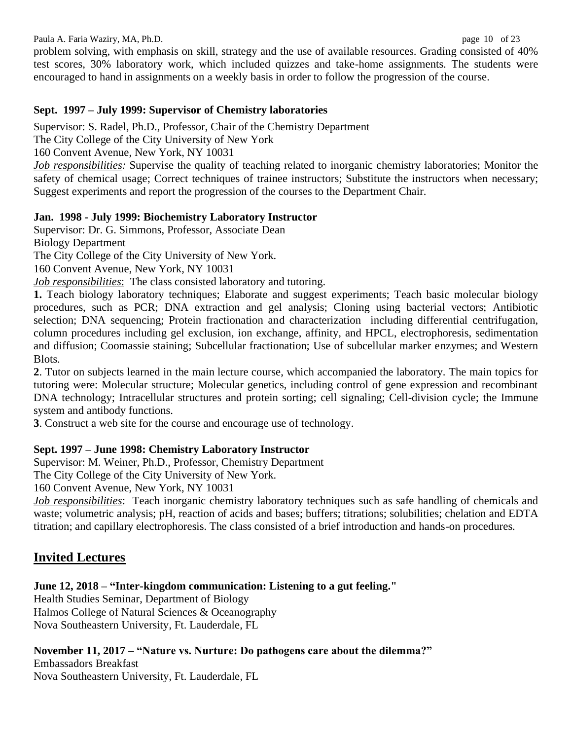Paula A. Faria Waziry, MA, Ph.D. page 10 of 23

problem solving, with emphasis on skill, strategy and the use of available resources. Grading consisted of 40% test scores, 30% laboratory work, which included quizzes and take-home assignments. The students were encouraged to hand in assignments on a weekly basis in order to follow the progression of the course.

## **Sept. 1997 – July 1999: Supervisor of Chemistry laboratories**

Supervisor: S. Radel, Ph.D., Professor, Chair of the Chemistry Department

The City College of the City University of New York

160 Convent Avenue, New York, NY 10031

*Job responsibilities:* Supervise the quality of teaching related to inorganic chemistry laboratories; Monitor the safety of chemical usage; Correct techniques of trainee instructors; Substitute the instructors when necessary; Suggest experiments and report the progression of the courses to the Department Chair.

## **Jan. 1998 - July 1999: Biochemistry Laboratory Instructor**

Supervisor: Dr. G. Simmons, Professor, Associate Dean

Biology Department

The City College of the City University of New York.

160 Convent Avenue, New York, NY 10031

*Job responsibilities*: The class consisted laboratory and tutoring.

**1.** Teach biology laboratory techniques; Elaborate and suggest experiments; Teach basic molecular biology procedures, such as PCR; DNA extraction and gel analysis; Cloning using bacterial vectors; Antibiotic selection; DNA sequencing; Protein fractionation and characterization including differential centrifugation, column procedures including gel exclusion, ion exchange, affinity, and HPCL, electrophoresis, sedimentation and diffusion; Coomassie staining; Subcellular fractionation; Use of subcellular marker enzymes; and Western Blots.

**2**. Tutor on subjects learned in the main lecture course, which accompanied the laboratory. The main topics for tutoring were: Molecular structure; Molecular genetics, including control of gene expression and recombinant DNA technology; Intracellular structures and protein sorting; cell signaling; Cell-division cycle; the Immune system and antibody functions.

**3**. Construct a web site for the course and encourage use of technology.

# **Sept. 1997 – June 1998: Chemistry Laboratory Instructor**

Supervisor: M. Weiner, Ph.D., Professor, Chemistry Department

The City College of the City University of New York.

160 Convent Avenue, New York, NY 10031

*Job responsibilities*: Teach inorganic chemistry laboratory techniques such as safe handling of chemicals and waste; volumetric analysis; pH, reaction of acids and bases; buffers; titrations; solubilities; chelation and EDTA titration; and capillary electrophoresis. The class consisted of a brief introduction and hands-on procedures.

# **Invited Lectures**

**June 12, 2018 – "Inter-kingdom communication: Listening to a gut feeling."**

Health Studies Seminar, Department of Biology Halmos College of Natural Sciences & Oceanography Nova Southeastern University, Ft. Lauderdale, FL

# **November 11, 2017 – "Nature vs. Nurture: Do pathogens care about the dilemma?"**

Embassadors Breakfast

Nova Southeastern University, Ft. Lauderdale, FL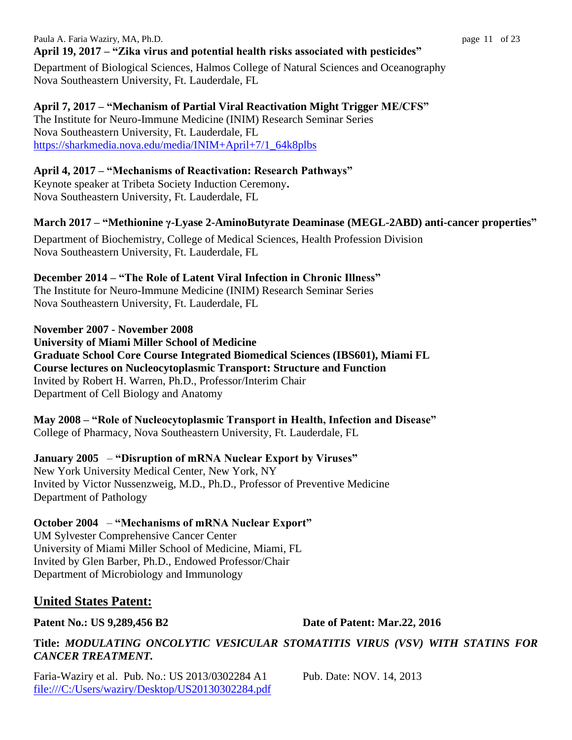#### Paula A. Faria Waziry, MA, Ph.D. page 11 of 23 **April 19, 2017 – "Zika virus and potential health risks associated with pesticides"**

Department of Biological Sciences, Halmos College of Natural Sciences and Oceanography Nova Southeastern University, Ft. Lauderdale, FL

**April 7, 2017 – "Mechanism of Partial Viral Reactivation Might Trigger ME/CFS"** The Institute for Neuro-Immune Medicine (INIM) Research Seminar Series Nova Southeastern University, Ft. Lauderdale, FL [https://sharkmedia.nova.edu/media/INIM+April+7/1\\_64k8plbs](https://sharkmedia.nova.edu/media/INIM+April+7/1_64k8plbs)

## **April 4, 2017 – "Mechanisms of Reactivation: Research Pathways"**

Keynote speaker at Tribeta Society Induction Ceremony**.** Nova Southeastern University, Ft. Lauderdale, FL

# **March 2017 – "Methionine γ-Lyase 2-AminoButyrate Deaminase (MEGL-2ABD) anti-cancer properties"**

Department of Biochemistry, College of Medical Sciences, Health Profession Division Nova Southeastern University, Ft. Lauderdale, FL

## **December 2014 – "The Role of Latent Viral Infection in Chronic Illness"**

The Institute for Neuro-Immune Medicine (INIM) Research Seminar Series Nova Southeastern University, Ft. Lauderdale, FL

**November 2007 - November 2008**

**University of Miami Miller School of Medicine** 

**Graduate School Core Course Integrated Biomedical Sciences (IBS601), Miami FL Course lectures on Nucleocytoplasmic Transport: Structure and Function** Invited by Robert H. Warren, Ph.D., Professor/Interim Chair Department of Cell Biology and Anatomy

**May 2008 – "Role of Nucleocytoplasmic Transport in Health, Infection and Disease"** College of Pharmacy, Nova Southeastern University, Ft. Lauderdale, FL

**January 2005** – **"Disruption of mRNA Nuclear Export by Viruses"** New York University Medical Center, New York, NY Invited by Victor Nussenzweig, M.D., Ph.D., Professor of Preventive Medicine Department of Pathology

#### **October 2004** – **"Mechanisms of mRNA Nuclear Export"** UM Sylvester Comprehensive Cancer Center

University of Miami Miller School of Medicine, Miami, FL Invited by Glen Barber, Ph.D., Endowed Professor/Chair Department of Microbiology and Immunology

# **United States Patent:**

**Patent No.: US 9,289,456 B2 Date of Patent: Mar.22, 2016**

# **Title:** *MODULATING ONCOLYTIC VESICULAR STOMATITIS VIRUS (VSV) WITH STATINS FOR CANCER TREATMENT.*

Faria-Waziry et al. Pub. No.: US 2013/0302284 A1 Pub. Date: NOV. 14, 2013 [file:///C:/Users/waziry/Desktop/US20130302284.pdf](../../AppData/Roaming/AppData/Desktop/US20130302284.pdf)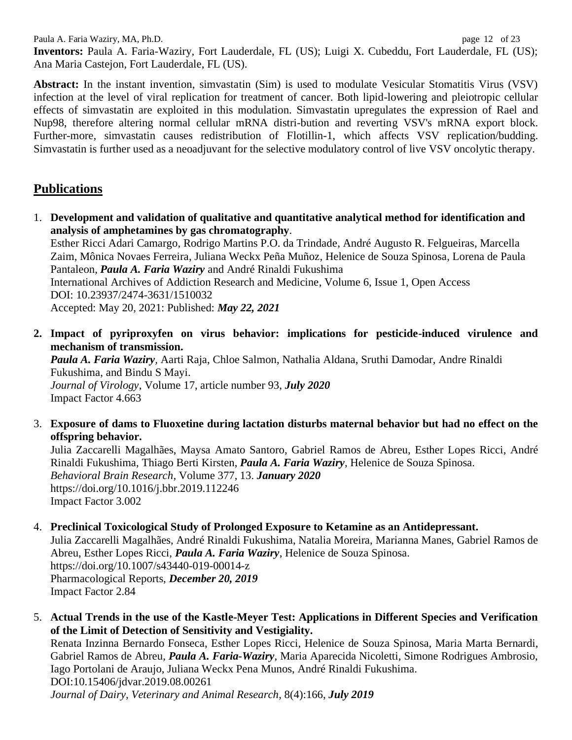Paula A. Faria Waziry, MA, Ph.D. page 12 of 23 **Inventors:** Paula A. Faria-Waziry, Fort Lauderdale, FL (US); Luigi X. Cubeddu, Fort Lauderdale, FL (US); Ana Maria Castejon, Fort Lauderdale, FL (US).

**Abstract:** In the instant invention, simvastatin (Sim) is used to modulate Vesicular Stomatitis Virus (VSV) infection at the level of viral replication for treatment of cancer. Both lipid-lowering and pleiotropic cellular effects of simvastatin are exploited in this modulation. Simvastatin upregulates the expression of Rael and Nup98, therefore altering normal cellular mRNA distri-bution and reverting VSV's mRNA export block. Further-more, simvastatin causes redistribution of Flotillin-1, which affects VSV replication/budding. Simvastatin is further used as a neoadjuvant for the selective modulatory control of live VSV oncolytic therapy.

# **Publications**

1. **Development and validation of qualitative and quantitative analytical method for identification and analysis of amphetamines by gas chromatography**.

Esther Ricci Adari Camargo, Rodrigo Martins P.O. da Trindade, André Augusto R. Felgueiras, Marcella Zaim, Mônica Novaes Ferreira, Juliana Weckx Peña Muñoz, Helenice de Souza Spinosa, Lorena de Paula Pantaleon, *Paula A. Faria Waziry* and André Rinaldi Fukushima International Archives of Addiction Research and Medicine, Volume 6, Issue 1, Open Access DOI: 10.23937/2474-3631/1510032

Accepted: May 20, 2021: Published: *May 22, 2021*

**2. Impact of pyriproxyfen on virus behavior: implications for pesticide-induced virulence and mechanism of transmission.**

*Paula A. Faria Waziry,* Aarti Raja, Chloe Salmon, Nathalia Aldana, Sruthi Damodar, Andre Rinaldi Fukushima, and Bindu S Mayi. *Journal of Virology*, Volume 17, article number 93, *July 2020* Impact Factor 4.663

3. **Exposure of dams to Fluoxetine during lactation disturbs maternal behavior but had no effect on the offspring behavior.**

Julia Zaccarelli Magalhães, Maysa Amato Santoro, Gabriel Ramos de Abreu, Esther Lopes Ricci, André Rinaldi Fukushima, Thiago Berti Kirsten, *Paula A. Faria Waziry*, Helenice de Souza Spinosa. *Behavioral Brain Research,* Volume 377, 13. *January 2020* https://doi.org/10.1016/j.bbr.2019.112246 Impact Factor 3.002

## 4. **Preclinical Toxicological Study of Prolonged Exposure to Ketamine as an Antidepressant.**

Julia Zaccarelli Magalhães, André Rinaldi Fukushima, Natalia Moreira, Marianna Manes, Gabriel Ramos de Abreu, Esther Lopes Ricci, *Paula A. Faria Waziry*, Helenice de Souza Spinosa. https://doi.org/10.1007/s43440-019-00014-z Pharmacological Reports, *December 20, 2019* Impact Factor 2.84

5. **Actual Trends in the use of the Kastle-Meyer Test: Applications in Different Species and Verification of the Limit of Detection of Sensitivity and Vestigiality.**  Renata Inzinna Bernardo Fonseca, Esther Lopes Ricci, Helenice de Souza Spinosa, Maria Marta Bernardi,

Gabriel Ramos de Abreu, *Paula A. Faria-Waziry*, Maria Aparecida Nicoletti, Simone Rodrigues Ambrosio, Iago Portolani de Araujo, Juliana Weckx Pena Munos, André Rinaldi Fukushima. DOI:10.15406/jdvar.2019.08.00261

*Journal of Dairy, Veterinary and Animal Research*, 8(4):166, *July 2019*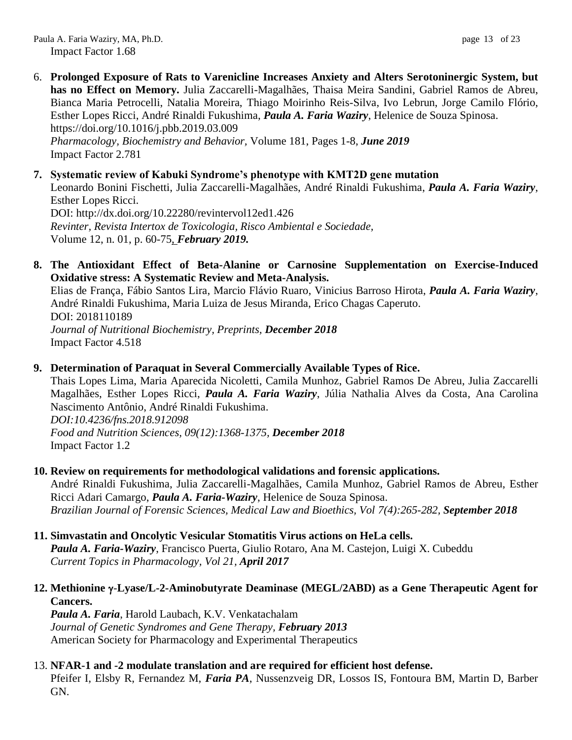- 6. **Prolonged Exposure of Rats to Varenicline Increases Anxiety and Alters Serotoninergic System, but has no Effect on Memory.** Julia Zaccarelli-Magalhães, Thaisa Meira Sandini, Gabriel Ramos de Abreu, Bianca Maria Petrocelli, Natalia Moreira, Thiago Moirinho Reis-Silva, Ivo Lebrun, Jorge Camilo Flório, Esther Lopes Ricci, André Rinaldi Fukushima, *Paula A. Faria Waziry*, Helenice de Souza Spinosa. https://doi.org/10.1016/j.pbb.2019.03.009 *Pharmacology, Biochemistry and Behavior,* Volume 181, Pages 1-8, *June 2019* Impact Factor 2.781
- **7. Systematic review of Kabuki Syndrome's phenotype with KMT2D gene mutation** Leonardo Bonini Fischetti, Julia Zaccarelli-Magalhães, André Rinaldi Fukushima, *Paula A. Faria Waziry*, Esther Lopes Ricci. DOI: http://dx.doi.org/10.22280/revintervol12ed1.426 *Revinter, Revista Intertox de Toxicologia, Risco Ambiental e Sociedade,* Volume 12, n. 01, p. 60-75, *February 2019.*
- **8. The Antioxidant Effect of Beta-Alanine or Carnosine Supplementation on Exercise-Induced Oxidative stress: A Systematic Review and Meta-Analysis.**

Elias de França, Fábio Santos Lira, Marcio Flávio Ruaro, Vinicius Barroso Hirota, *Paula A. Faria Waziry*, André Rinaldi Fukushima, Maria Luiza de Jesus Miranda, Erico Chagas Caperuto. DOI: 2018110189 *Journal of Nutritional Biochemistry, Preprints, December 2018* Impact Factor 4.518

#### **9. Determination of Paraquat in Several Commercially Available Types of Rice.**

Thais Lopes Lima, Maria Aparecida Nicoletti, Camila Munhoz, Gabriel Ramos De Abreu, Julia Zaccarelli Magalhães, Esther Lopes Ricci, *Paula A. Faria Waziry*, Júlia Nathalia Alves da Costa, Ana Carolina Nascimento Antônio, André Rinaldi Fukushima. *DOI:10.4236/fns.2018.912098*

*Food and Nutrition Sciences, 09(12):1368-1375, December 2018* Impact Factor 1.2

#### **10. Review on requirements for methodological validations and forensic applications.**

André Rinaldi Fukushima, Julia Zaccarelli-Magalhães, Camila Munhoz, Gabriel Ramos de Abreu, Esther Ricci Adari Camargo, *Paula A. Faria-Waziry*, Helenice de Souza Spinosa. *Brazilian Journal of Forensic Sciences, Medical Law and Bioethics, Vol 7(4):265-282, September 2018*

**11. Simvastatin and Oncolytic Vesicular Stomatitis Virus actions on HeLa cells.** *Paula A. Faria-Waziry*, Francisco Puerta, Giulio Rotaro, Ana M. Castejon, Luigi X. Cubeddu *Current Topics in Pharmacology, Vol 21, April 2017*

## **12.** Methionine γ-Lyase/L-2-Aminobutyrate Deaminase (MEGL/2ABD) as a Gene Therapeutic Agent for **Cancers.**

*Paula A. Faria*, Harold Laubach, K.V. Venkatachalam *Journal of Genetic Syndromes and Gene Therapy, February 2013* American Society for Pharmacology and Experimental Therapeutics

## 13. **NFAR-1 and -2 modulate translation and are required for efficient host defense.**

Pfeifer I, Elsby R, Fernandez M, *Faria PA*, Nussenzveig DR, Lossos IS, Fontoura BM, Martin D, Barber GN.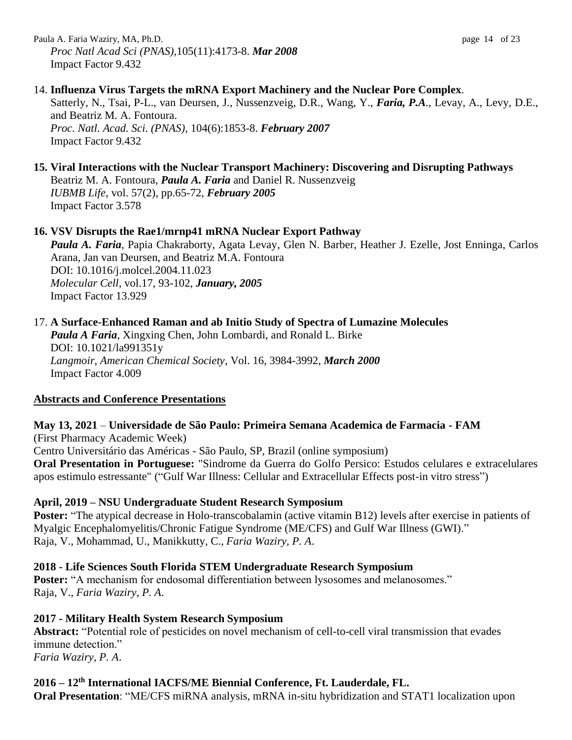Paula A. Faria Waziry, MA, Ph.D. page 14 of 23 *Proc Natl Acad Sci (PNAS),*105(11):4173-8. *Mar 2008* Impact Factor 9.432

## 14. **Influenza Virus Targets the mRNA Export Machinery and the Nuclear Pore Complex**.

Satterly, N., Tsai, P-L., van Deursen, J., Nussenzveig, D.R., Wang, Y., *Faria, P.A*., Levay, A., Levy, D.E., and Beatriz M. A. Fontoura. *Proc. Natl. Acad. Sci. (PNAS),* 104(6):1853-8. *February 2007* Impact Factor 9.432

## **15. Viral Interactions with the Nuclear Transport Machinery: Discovering and Disrupting Pathways**

Beatriz M. A. Fontoura, *Paula A. Faria* and Daniel R. Nussenzveig *IUBMB Life*, vol. 57(2), pp.65-72, *February 2005* Impact Factor 3.578

## **16. VSV Disrupts the Rae1/mrnp41 mRNA Nuclear Export Pathway**

*Paula A. Faria*, Papia Chakraborty, Agata Levay, Glen N. Barber, Heather J. Ezelle, Jost Enninga, Carlos Arana, Jan van Deursen, and Beatriz M.A. Fontoura DOI: 10.1016/j.molcel.2004.11.023 *Molecular Cell*, vol.17, 93-102, *January, 2005* Impact Factor 13.929

## 17. **A Surface-Enhanced Raman and ab Initio Study of Spectra of Lumazine Molecules**

*Paula A Faria*, Xingxing Chen, John Lombardi, and Ronald L. Birke DOI: 10.1021/la991351y *Langmoir*, *American Chemical Society*, Vol. 16, 3984-3992, *March 2000* Impact Factor 4.009

## **Abstracts and Conference Presentations**

#### **May 13, 2021** – **Universidade de São Paulo: Primeira Semana Academica de Farmacia - FAM** (First Pharmacy Academic Week) Centro Universitário das Américas - São Paulo, SP, Brazil (online symposium) **Oral Presentation in Portuguese:** "Sindrome da Guerra do Golfo Persico: Estudos celulares e extracelulares apos estimulo estressante" ("Gulf War Illness: Cellular and Extracellular Effects post-in vitro stress")

## **April, 2019 – NSU Undergraduate Student Research Symposium**

**Poster:** "The atypical decrease in Holo-transcobalamin (active vitamin B12) levels after exercise in patients of Myalgic Encephalomyelitis/Chronic Fatigue Syndrome (ME/CFS) and Gulf War Illness (GWI)." Raja, V., Mohammad, U., Manikkutty, C., *Faria Waziry, P. A*.

#### **2018 - Life Sciences South Florida STEM Undergraduate Research Symposium**

**Poster:** "A mechanism for endosomal differentiation between lysosomes and melanosomes." Raja, V., *Faria Waziry, P. A*.

#### **2017 - Military Health System Research Symposium**

**Abstract:** "Potential role of pesticides on novel mechanism of cell-to-cell viral transmission that evades immune detection." *Faria Waziry, P. A*.

## **2016 – 12th International IACFS/ME Biennial Conference, Ft. Lauderdale, FL.**

**Oral Presentation**: "ME/CFS miRNA analysis, mRNA in-situ hybridization and STAT1 localization upon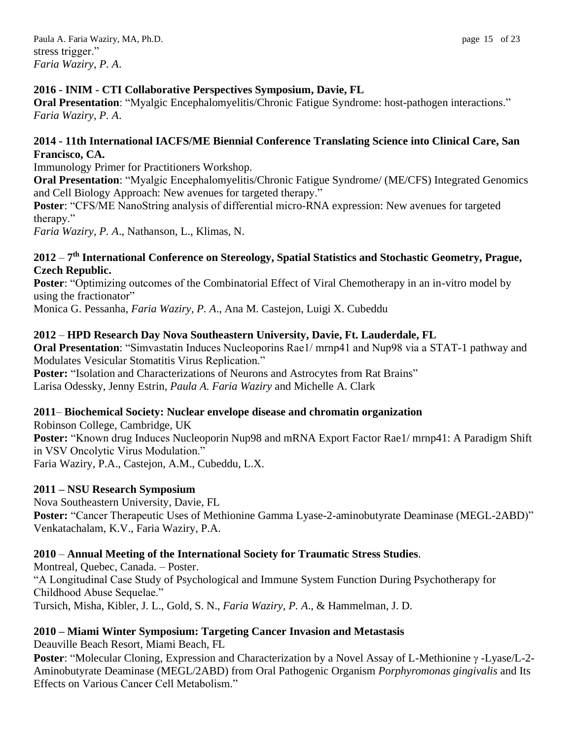## **2016 - INIM - CTI Collaborative Perspectives Symposium, Davie, FL**

**Oral Presentation**: "Myalgic Encephalomyelitis/Chronic Fatigue Syndrome: host-pathogen interactions." *Faria Waziry, P. A*.

## **2014 - 11th International IACFS/ME Biennial Conference Translating Science into Clinical Care, San Francisco, CA.**

Immunology Primer for Practitioners Workshop.

**Oral Presentation**: "Myalgic Encephalomyelitis/Chronic Fatigue Syndrome/ (ME/CFS) Integrated Genomics and Cell Biology Approach: New avenues for targeted therapy."

**Poster**: "CFS/ME NanoString analysis of differential micro-RNA expression: New avenues for targeted therapy."

*Faria Waziry, P. A*., Nathanson, L., Klimas, N.

#### **2012** – **7 th International Conference on Stereology, Spatial Statistics and Stochastic Geometry, Prague, Czech Republic.**

**Poster**: "Optimizing outcomes of the Combinatorial Effect of Viral Chemotherapy in an in-vitro model by using the fractionator"

Monica G. Pessanha, *Faria Waziry, P. A*., Ana M. Castejon, Luigi X. Cubeddu

## **2012** – **HPD Research Day Nova Southeastern University, Davie, Ft. Lauderdale, FL**

**Oral Presentation:** "Simvastatin Induces Nucleoporins Rae1/ mrnp41 and Nup98 via a STAT-1 pathway and Modulates Vesicular Stomatitis Virus Replication."

Poster: "Isolation and Characterizations of Neurons and Astrocytes from Rat Brains" Larisa Odessky, Jenny Estrin, *Paula A. Faria Waziry* and Michelle A. Clark

## **2011**– **Biochemical Society: Nuclear envelope disease and chromatin organization**

Robinson College, Cambridge, UK **Poster:** "Known drug Induces Nucleoporin Nup98 and mRNA Export Factor Rae1/ mrnp41: A Paradigm Shift in VSV Oncolytic Virus Modulation." Faria Waziry, P.A., Castejon, A.M., Cubeddu, L.X.

## **2011 – NSU Research Symposium**

Nova Southeastern University, Davie, FL **Poster:** "Cancer Therapeutic Uses of Methionine Gamma Lyase-2-aminobutyrate Deaminase (MEGL-2ABD)" Venkatachalam, K.V., Faria Waziry, P.A.

## **2010** – **Annual Meeting of the International Society for Traumatic Stress Studies**.

Montreal, Quebec, Canada. – Poster. "A Longitudinal Case Study of Psychological and Immune System Function During Psychotherapy for Childhood Abuse Sequelae." Tursich, Misha, Kibler, J. L., Gold, S. N., *Faria Waziry, P. A*., & Hammelman, J. D.

## **2010 – Miami Winter Symposium: Targeting Cancer Invasion and Metastasis**

Deauville Beach Resort, Miami Beach, FL

**Poster:** "Molecular Cloning, Expression and Characterization by a Novel Assay of L-Methionine  $\gamma$ -Lyase/L-2-Aminobutyrate Deaminase (MEGL/2ABD) from Oral Pathogenic Organism *Porphyromonas gingivalis* and Its Effects on Various Cancer Cell Metabolism."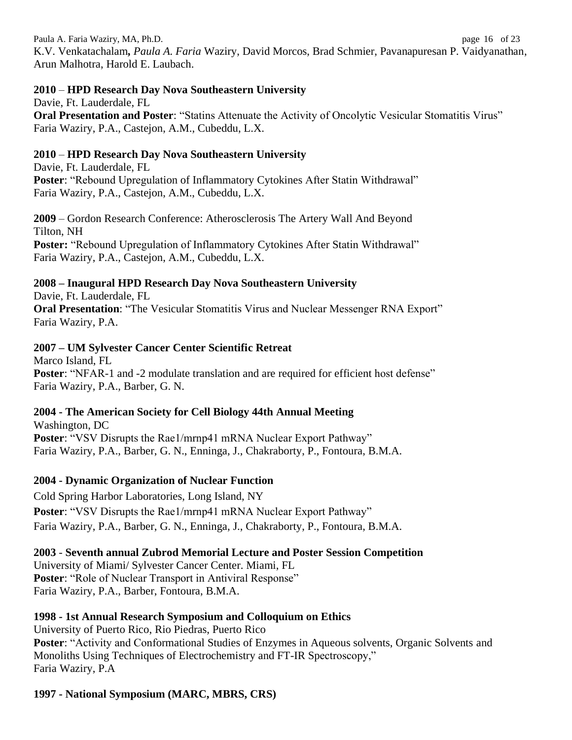Paula A. Faria Waziry, MA, Ph.D. page 16 of 23 K.V. Venkatachalam*, Paula A. Faria* Waziry, David Morcos, Brad Schmier, Pavanapuresan P. Vaidyanathan, Arun Malhotra, Harold E. Laubach.

## **2010** – **HPD Research Day Nova Southeastern University**

Davie, Ft. Lauderdale, FL **Oral Presentation and Poster**: "Statins Attenuate the Activity of Oncolytic Vesicular Stomatitis Virus" Faria Waziry, P.A., Castejon, A.M., Cubeddu, L.X.

# **2010** – **HPD Research Day Nova Southeastern University**

Davie, Ft. Lauderdale, FL **Poster**: "Rebound Upregulation of Inflammatory Cytokines After Statin Withdrawal" Faria Waziry, P.A., Castejon, A.M., Cubeddu, L.X.

**2009** – Gordon Research Conference: Atherosclerosis The Artery Wall And Beyond Tilton, NH **Poster: "Rebound Upregulation of Inflammatory Cytokines After Statin Withdrawal"** Faria Waziry, P.A., Castejon, A.M., Cubeddu, L.X.

# **2008 – Inaugural HPD Research Day Nova Southeastern University**

Davie, Ft. Lauderdale, FL **Oral Presentation**: "The Vesicular Stomatitis Virus and Nuclear Messenger RNA Export" Faria Waziry, P.A.

# **2007 – UM Sylvester Cancer Center Scientific Retreat**

Marco Island, FL **Poster:** "NFAR-1 and -2 modulate translation and are required for efficient host defense" Faria Waziry, P.A., Barber, G. N.

## **2004 - The American Society for Cell Biology 44th Annual Meeting**

Washington, DC **Poster: "VSV Disrupts the Rae1/mrnp41 mRNA Nuclear Export Pathway"** Faria Waziry, P.A., Barber, G. N., Enninga, J., Chakraborty, P., Fontoura, B.M.A.

## **2004 - Dynamic Organization of Nuclear Function**

Cold Spring Harbor Laboratories, Long Island, NY **Poster**: "VSV Disrupts the Rae1/mrnp41 mRNA Nuclear Export Pathway" Faria Waziry, P.A., Barber, G. N., Enninga, J., Chakraborty, P., Fontoura, B.M.A.

# **2003** - **Seventh annual Zubrod Memorial Lecture and Poster Session Competition**

University of Miami/ Sylvester Cancer Center. Miami, FL **Poster**: "Role of Nuclear Transport in Antiviral Response" Faria Waziry, P.A., Barber, Fontoura, B.M.A.

## **1998 - 1st Annual Research Symposium and Colloquium on Ethics**

University of Puerto Rico, Rio Piedras, Puerto Rico **Poster**: "Activity and Conformational Studies of Enzymes in Aqueous solvents, Organic Solvents and Monoliths Using Techniques of Electrochemistry and FT-IR Spectroscopy," Faria Waziry, P.A

# **1997 - National Symposium (MARC, MBRS, CRS)**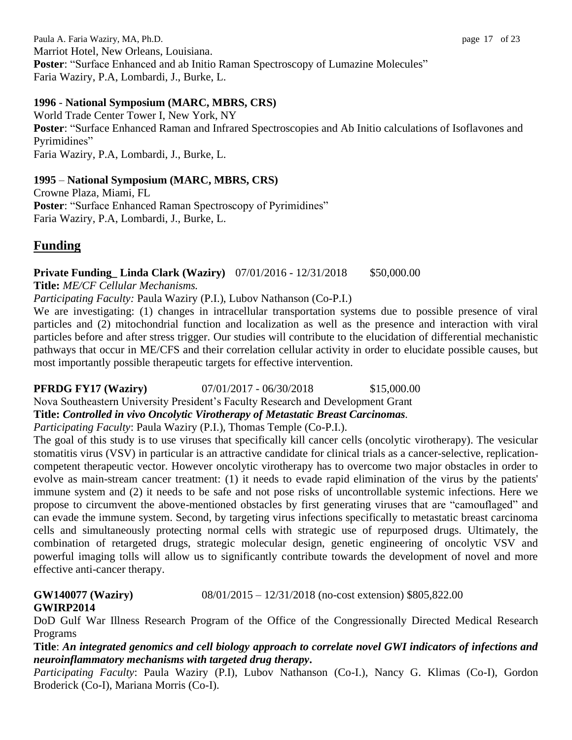Paula A. Faria Waziry, MA, Ph.D. page 17 of 23 Marriot Hotel, New Orleans, Louisiana. **Poster: "Surface Enhanced and ab Initio Raman Spectroscopy of Lumazine Molecules"** Faria Waziry, P.A, Lombardi, J., Burke, L.

## **1996** - **National Symposium (MARC, MBRS, CRS)**

World Trade Center Tower I, New York, NY **Poster**: "Surface Enhanced Raman and Infrared Spectroscopies and Ab Initio calculations of Isoflavones and Pyrimidines" Faria Waziry, P.A, Lombardi, J., Burke, L.

## **1995** – **National Symposium (MARC, MBRS, CRS)**

Crowne Plaza, Miami, FL **Poster**: "Surface Enhanced Raman Spectroscopy of Pyrimidines" Faria Waziry, P.A, Lombardi, J., Burke, L.

# **Funding**

## **Private Funding\_Linda Clark (Waziry)**  $07/01/2016 - 12/31/2018$  \$50,000.00

**Title:** *ME/CF Cellular Mechanisms.*

*Participating Faculty:* Paula Waziry (P.I.), Lubov Nathanson (Co-P.I.)

We are investigating: (1) changes in intracellular transportation systems due to possible presence of viral particles and (2) mitochondrial function and localization as well as the presence and interaction with viral particles before and after stress trigger. Our studies will contribute to the elucidation of differential mechanistic pathways that occur in ME/CFS and their correlation cellular activity in order to elucidate possible causes, but most importantly possible therapeutic targets for effective intervention.

# **PFRDG FY17 (Waziry)** 07/01/2017 - 06/30/2018 \$15,000.00

Nova Southeastern University President's Faculty Research and Development Grant

## **Title:** *Controlled in vivo Oncolytic Virotherapy of Metastatic Breast Carcinomas.*

*Participating Faculty*: Paula Waziry (P.I.), Thomas Temple (Co-P.I.).

The goal of this study is to use viruses that specifically kill cancer cells (oncolytic virotherapy). The vesicular stomatitis virus (VSV) in particular is an attractive candidate for clinical trials as a cancer-selective, replicationcompetent therapeutic vector. However oncolytic virotherapy has to overcome two major obstacles in order to evolve as main-stream cancer treatment: (1) it needs to evade rapid elimination of the virus by the patients' immune system and (2) it needs to be safe and not pose risks of uncontrollable systemic infections. Here we propose to circumvent the above-mentioned obstacles by first generating viruses that are "camouflaged" and can evade the immune system. Second, by targeting virus infections specifically to metastatic breast carcinoma cells and simultaneously protecting normal cells with strategic use of repurposed drugs. Ultimately, the combination of retargeted drugs, strategic molecular design, genetic engineering of oncolytic VSV and powerful imaging tolls will allow us to significantly contribute towards the development of novel and more effective anti-cancer therapy.

**GW140077 (Waziry)** 08/01/2015 – 12/31/2018 (no-cost extension) \$805,822.00 **GWIRP2014**

DoD Gulf War Illness Research Program of the Office of the Congressionally Directed Medical Research Programs

**Title**: *An integrated genomics and cell biology approach to correlate novel GWI indicators of infections and neuroinflammatory mechanisms with targeted drug therapy***.**

*Participating Faculty*: Paula Waziry (P.I), Lubov Nathanson (Co-I.), Nancy G. Klimas (Co-I), Gordon Broderick (Co-I), Mariana Morris (Co-I).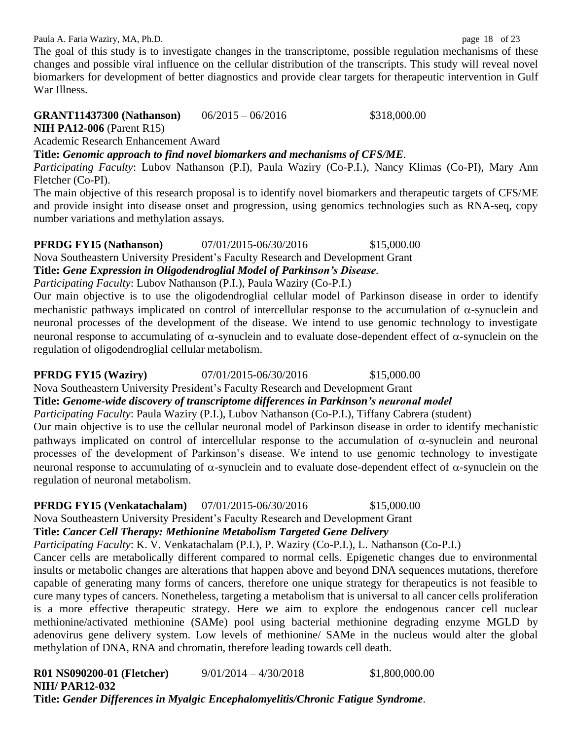Paula A. Faria Waziry, MA, Ph.D. **page 18** of 23

The goal of this study is to investigate changes in the transcriptome, possible regulation mechanisms of these changes and possible viral influence on the cellular distribution of the transcripts. This study will reveal novel biomarkers for development of better diagnostics and provide clear targets for therapeutic intervention in Gulf War Illness.

# **GRANT11437300 (Nathanson)** 06/2015 – 06/2016 \$318,000.00

**NIH PA12-006** (Parent R15)

Academic Research Enhancement Award

**Title:** *Genomic approach to find novel biomarkers and mechanisms of CFS/ME.*

*Participating Faculty*: Lubov Nathanson (P.I), Paula Waziry (Co-P.I.), Nancy Klimas (Co-PI), Mary Ann Fletcher (Co-PI).

The main objective of this research proposal is to identify novel biomarkers and therapeutic targets of CFS/ME and provide insight into disease onset and progression, using genomics technologies such as RNA-seq, copy number variations and methylation assays.

**PFRDG FY15 (Nathanson)** 07/01/2015-06/30/2016 \$15,000.00 Nova Southeastern University President's Faculty Research and Development Grant **Title:** *Gene Expression in Oligodendroglial Model of Parkinson's Disease.*

*Participating Faculty*: Lubov Nathanson (P.I.), Paula Waziry (Co-P.I.)

Our main objective is to use the oligodendroglial cellular model of Parkinson disease in order to identify mechanistic pathways implicated on control of intercellular response to the accumulation of  $\alpha$ -synuclein and neuronal processes of the development of the disease. We intend to use genomic technology to investigate neuronal response to accumulating of  $\alpha$ -synuclein and to evaluate dose-dependent effect of  $\alpha$ -synuclein on the regulation of oligodendroglial cellular metabolism.

## **PFRDG FY15 (Waziry)** 07/01/2015-06/30/2016 \$15,000.00

Nova Southeastern University President's Faculty Research and Development Grant

# **Title:** *Genome-wide discovery of transcriptome differences in Parkinson's neuronal model*

*Participating Faculty*: Paula Waziry (P.I.), Lubov Nathanson (Co-P.I.), Tiffany Cabrera (student)

Our main objective is to use the cellular neuronal model of Parkinson disease in order to identify mechanistic pathways implicated on control of intercellular response to the accumulation of  $\alpha$ -synuclein and neuronal processes of the development of Parkinson's disease. We intend to use genomic technology to investigate neuronal response to accumulating of  $\alpha$ -synuclein and to evaluate dose-dependent effect of  $\alpha$ -synuclein on the regulation of neuronal metabolism.

# **PFRDG FY15 (Venkatachalam)** 07/01/2015-06/30/2016 \$15,000.00

Nova Southeastern University President's Faculty Research and Development Grant

# **Title:** *Cancer Cell Therapy: Methionine Metabolism Targeted Gene Delivery*

*Participating Faculty*: K. V. Venkatachalam (P.I.), P. Waziry (Co-P.I.), L. Nathanson (Co-P.I.)

Cancer cells are metabolically different compared to normal cells. Epigenetic changes due to environmental insults or metabolic changes are alterations that happen above and beyond DNA sequences mutations, therefore capable of generating many forms of cancers, therefore one unique strategy for therapeutics is not feasible to cure many types of cancers. Nonetheless, targeting a metabolism that is universal to all cancer cells proliferation is a more effective therapeutic strategy. Here we aim to explore the endogenous cancer cell nuclear methionine/activated methionine (SAMe) pool using bacterial methionine degrading enzyme MGLD by adenovirus gene delivery system. Low levels of methionine/ SAMe in the nucleus would alter the global methylation of DNA, RNA and chromatin, therefore leading towards cell death.

**R01 NS090200-01 (Fletcher)** 9/01/2014 – 4/30/2018 \$1,800,000.00 **NIH/ PAR12-032 Title:** *Gender Differences in Myalgic Encephalomyelitis/Chronic Fatigue Syndrome.*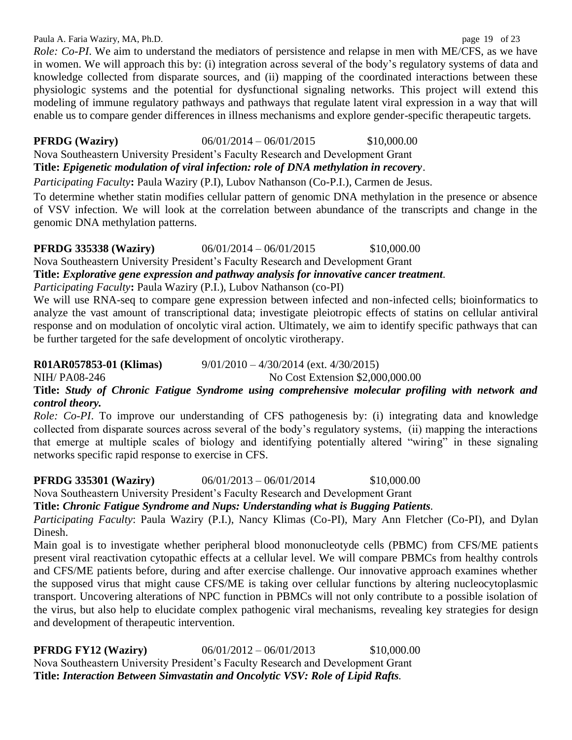#### Paula A. Faria Waziry, MA, Ph.D. page 19 of 23

*Role: Co-PI*. We aim to understand the mediators of persistence and relapse in men with ME/CFS, as we have in women. We will approach this by: (i) integration across several of the body's regulatory systems of data and knowledge collected from disparate sources, and (ii) mapping of the coordinated interactions between these physiologic systems and the potential for dysfunctional signaling networks. This project will extend this modeling of immune regulatory pathways and pathways that regulate latent viral expression in a way that will enable us to compare gender differences in illness mechanisms and explore gender-specific therapeutic targets.

**PFRDG (Waziry)** 06/01/2014 – 06/01/2015 \$10,000.00

Nova Southeastern University President's Faculty Research and Development Grant

**Title:** *Epigenetic modulation of viral infection: role of DNA methylation in recovery*.

*Participating Faculty***:** Paula Waziry (P.I), Lubov Nathanson (Co-P.I.), Carmen de Jesus.

To determine whether statin modifies cellular pattern of genomic DNA methylation in the presence or absence of VSV infection. We will look at the correlation between abundance of the transcripts and change in the genomic DNA methylation patterns.

#### **PFRDG 335338 (Waziry)**  $06/01/2014 - 06/01/2015$  \$10,000.00

Nova Southeastern University President's Faculty Research and Development Grant

**Title:** *Explorative gene expression and pathway analysis for innovative cancer treatment.*

*Participating Faculty***:** Paula Waziry (P.I.), Lubov Nathanson (co-PI)

We will use RNA-seq to compare gene expression between infected and non-infected cells; bioinformatics to analyze the vast amount of transcriptional data; investigate pleiotropic effects of statins on cellular antiviral response and on modulation of oncolytic viral action. Ultimately, we aim to identify specific pathways that can be further targeted for the safe development of oncolytic virotherapy.

#### **R01AR057853-01 (Klimas)** 9/01/2010 – 4/30/2014 (ext. 4/30/2015)

NIH/ PA08-246 No Cost Extension \$2,000,000.00

# **Title:** *Study of Chronic Fatigue Syndrome using comprehensive molecular profiling with network and control theory.*

*Role: Co-PI*. To improve our understanding of CFS pathogenesis by: (i) integrating data and knowledge collected from disparate sources across several of the body's regulatory systems, (ii) mapping the interactions that emerge at multiple scales of biology and identifying potentially altered "wiring" in these signaling networks specific rapid response to exercise in CFS.

## **PFRDG 335301 (Waziry)** 06/01/2013 – 06/01/2014 \$10,000.00

Nova Southeastern University President's Faculty Research and Development Grant

## **Title:** *Chronic Fatigue Syndrome and Nups: Understanding what is Bugging Patients.*

*Participating Faculty*: Paula Waziry (P.I.), Nancy Klimas (Co-PI), Mary Ann Fletcher (Co-PI), and Dylan Dinesh.

Main goal is to investigate whether peripheral blood mononucleotyde cells (PBMC) from CFS/ME patients present viral reactivation cytopathic effects at a cellular level. We will compare PBMCs from healthy controls and CFS/ME patients before, during and after exercise challenge. Our innovative approach examines whether the supposed virus that might cause CFS/ME is taking over cellular functions by altering nucleocytoplasmic transport. Uncovering alterations of NPC function in PBMCs will not only contribute to a possible isolation of the virus, but also help to elucidate complex pathogenic viral mechanisms, revealing key strategies for design and development of therapeutic intervention.

**PFRDG FY12 (Waziry)** 06/01/2012 – 06/01/2013 \$10,000.00 Nova Southeastern University President's Faculty Research and Development Grant **Title:** *Interaction Between Simvastatin and Oncolytic VSV: Role of Lipid Rafts.*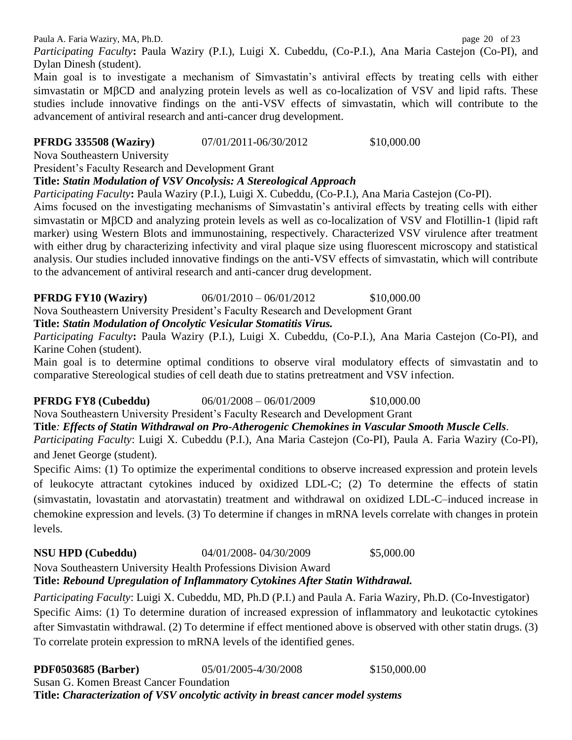Paula A. Faria Waziry, MA, Ph.D. page 20 of 23

*Participating Faculty***:** Paula Waziry (P.I.), Luigi X. Cubeddu, (Co-P.I.), Ana Maria Castejon (Co-PI), and Dylan Dinesh (student).

Main goal is to investigate a mechanism of Simvastatin's antiviral effects by treating cells with either simvastatin or MBCD and analyzing protein levels as well as co-localization of VSV and lipid rafts. These studies include innovative findings on the anti-VSV effects of simvastatin, which will contribute to the advancement of antiviral research and anti-cancer drug development.

# **PFRDG** 335508 (Waziry)  $07/01/2011-06/30/2012$  \$10,000.00

Nova Southeastern University

President's Faculty Research and Development Grant

## **Title:** *Statin Modulation of VSV Oncolysis: A Stereological Approach*

*Participating Faculty***:** Paula Waziry (P.I.), Luigi X. Cubeddu, (Co-P.I.), Ana Maria Castejon (Co-PI).

Aims focused on the investigating mechanisms of Simvastatin's antiviral effects by treating cells with either simvastatin or MBCD and analyzing protein levels as well as co-localization of VSV and Flotillin-1 (lipid raft marker) using Western Blots and immunostaining, respectively. Characterized VSV virulence after treatment with either drug by characterizing infectivity and viral plaque size using fluorescent microscopy and statistical analysis. Our studies included innovative findings on the anti-VSV effects of simvastatin, which will contribute to the advancement of antiviral research and anti-cancer drug development.

**PFRDG FY10 (Waziry)** 06/01/2010 – 06/01/2012 \$10,000.00

Nova Southeastern University President's Faculty Research and Development Grant

**Title:** *Statin Modulation of Oncolytic Vesicular Stomatitis Virus.*

*Participating Faculty***:** Paula Waziry (P.I.), Luigi X. Cubeddu, (Co-P.I.), Ana Maria Castejon (Co-PI), and Karine Cohen (student).

Main goal is to determine optimal conditions to observe viral modulatory effects of simvastatin and to comparative Stereological studies of cell death due to statins pretreatment and VSV infection.

## **PFRDG FY8 (Cubeddu)** 06/01/2008 – 06/01/2009 \$10,000.00

Nova Southeastern University President's Faculty Research and Development Grant

**Title***: Effects of Statin Withdrawal on Pro-Atherogenic Chemokines in Vascular Smooth Muscle Cells.*

*Participating Faculty*: Luigi X. Cubeddu (P.I.), Ana Maria Castejon (Co-PI), Paula A. Faria Waziry (Co-PI), and Jenet George (student).

Specific Aims: (1) To optimize the experimental conditions to observe increased expression and protein levels of leukocyte attractant cytokines induced by oxidized LDL-C; (2) To determine the effects of statin (simvastatin, lovastatin and atorvastatin) treatment and withdrawal on oxidized LDL-C–induced increase in chemokine expression and levels. (3) To determine if changes in mRNA levels correlate with changes in protein levels.

# **NSU HPD (Cubeddu)** 04/01/2008- 04/30/2009 \$5,000.00

Nova Southeastern University Health Professions Division Award

# **Title:** *Rebound Upregulation of Inflammatory Cytokines After Statin Withdrawal.*

*Participating Faculty*: Luigi X. Cubeddu, MD, Ph.D (P.I.) and Paula A. Faria Waziry, Ph.D. (Co-Investigator) Specific Aims: (1) To determine duration of increased expression of inflammatory and leukotactic cytokines after Simvastatin withdrawal. (2) To determine if effect mentioned above is observed with other statin drugs. (3) To correlate protein expression to mRNA levels of the identified genes.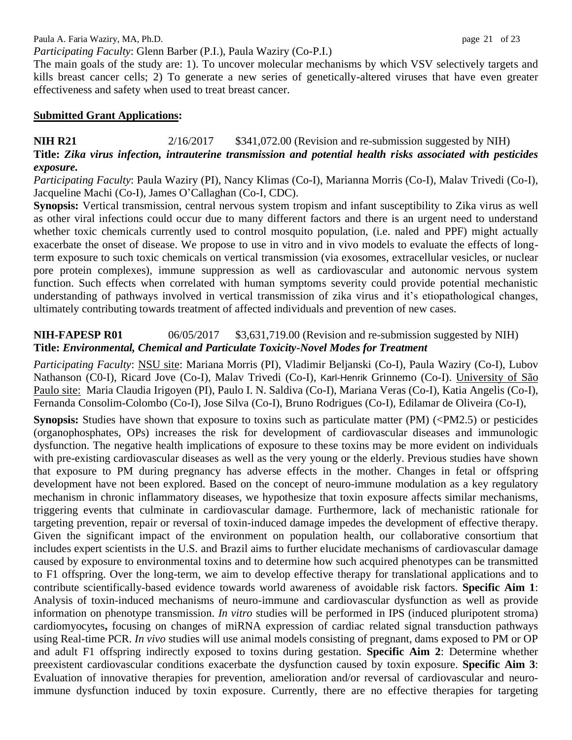## *Participating Faculty*: Glenn Barber (P.I.), Paula Waziry (Co-P.I.)

The main goals of the study are: 1). To uncover molecular mechanisms by which VSV selectively targets and kills breast cancer cells; 2) To generate a new series of genetically-altered viruses that have even greater effectiveness and safety when used to treat breast cancer.

#### **Submitted Grant Applications:**

## **NIH R21** 2/16/2017 \$341,072.00 (Revision and re-submission suggested by NIH) **Title:** *Zika virus infection, intrauterine transmission and potential health risks associated with pesticides exposure.*

*Participating Faculty*: Paula Waziry (PI), Nancy Klimas (Co-I), Marianna Morris (Co-I), Malav Trivedi (Co-I), Jacqueline Machi (Co-I), James O'Callaghan (Co-I, CDC).

**Synopsis:** Vertical transmission, central nervous system tropism and infant susceptibility to Zika virus as well as other viral infections could occur due to many different factors and there is an urgent need to understand whether toxic chemicals currently used to control mosquito population, (i.e. naled and PPF) might actually exacerbate the onset of disease. We propose to use in vitro and in vivo models to evaluate the effects of longterm exposure to such toxic chemicals on vertical transmission (via exosomes, extracellular vesicles, or nuclear pore protein complexes), immune suppression as well as cardiovascular and autonomic nervous system function. Such effects when correlated with human symptoms severity could provide potential mechanistic understanding of pathways involved in vertical transmission of zika virus and it's etiopathological changes, ultimately contributing towards treatment of affected individuals and prevention of new cases.

## **NIH-FAPESP R01** 06/05/2017 \$3,631,719.00 (Revision and re-submission suggested by NIH) **Title:** *Environmental, Chemical and Particulate Toxicity-Novel Modes for Treatment*

*Participating Faculty*: NSU site: Mariana Morris (PI), Vladimir Beljanski (Co-I), Paula Waziry (Co-I), Lubov Nathanson (C0-I), Ricard Jove (Co-I), Malav Trivedi (Co-I), Karl-Henrik Grinnemo (Co-I). University of São Paulo site: Maria Claudia Irigoyen (PI), Paulo I. N. Saldiva (Co-I), Mariana Veras (Co-I), Katia Angelis (Co-I), Fernanda Consolim-Colombo (Co-I), Jose Silva (Co-I), Bruno Rodrigues (Co-I), Edilamar de Oliveira (Co-I),

**Synopsis:** Studies have shown that exposure to toxins such as particulate matter (PM) (<PM2.5) or pesticides (organophosphates, OPs) increases the risk for development of cardiovascular diseases and immunologic dysfunction. The negative health implications of exposure to these toxins may be more evident on individuals with pre-existing cardiovascular diseases as well as the very young or the elderly. Previous studies have shown that exposure to PM during pregnancy has adverse effects in the mother. Changes in fetal or offspring development have not been explored. Based on the concept of neuro-immune modulation as a key regulatory mechanism in chronic inflammatory diseases, we hypothesize that toxin exposure affects similar mechanisms, triggering events that culminate in cardiovascular damage. Furthermore, lack of mechanistic rationale for targeting prevention, repair or reversal of toxin-induced damage impedes the development of effective therapy. Given the significant impact of the environment on population health, our collaborative consortium that includes expert scientists in the U.S. and Brazil aims to further elucidate mechanisms of cardiovascular damage caused by exposure to environmental toxins and to determine how such acquired phenotypes can be transmitted to F1 offspring. Over the long-term, we aim to develop effective therapy for translational applications and to contribute scientifically-based evidence towards world awareness of avoidable risk factors. **Specific Aim 1**: Analysis of toxin-induced mechanisms of neuro-immune and cardiovascular dysfunction as well as provide information on phenotype transmission. *In vitro* studies will be performed in IPS (induced pluripotent stroma) cardiomyocytes**,** focusing on changes of miRNA expression of cardiac related signal transduction pathways using Real-time PCR. *In vivo* studies will use animal models consisting of pregnant, dams exposed to PM or OP and adult F1 offspring indirectly exposed to toxins during gestation. **Specific Aim 2**: Determine whether preexistent cardiovascular conditions exacerbate the dysfunction caused by toxin exposure. **Specific Aim 3**: Evaluation of innovative therapies for prevention, amelioration and/or reversal of cardiovascular and neuroimmune dysfunction induced by toxin exposure. Currently, there are no effective therapies for targeting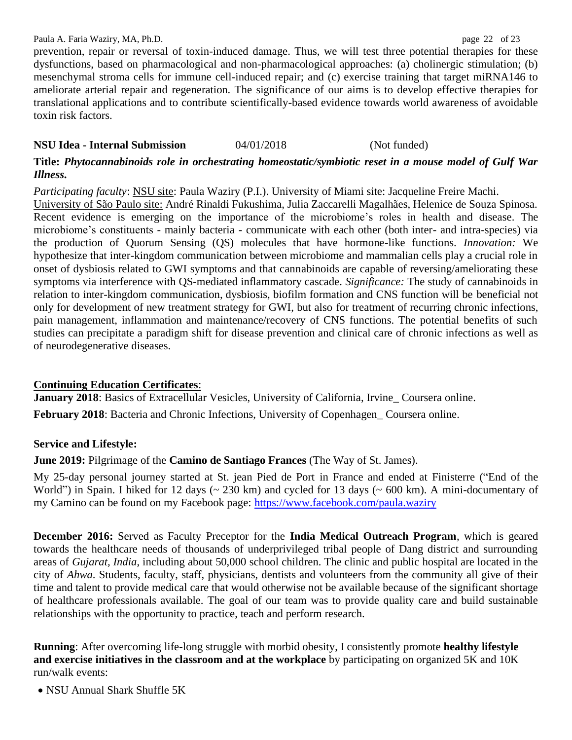prevention, repair or reversal of toxin-induced damage. Thus, we will test three potential therapies for these dysfunctions, based on pharmacological and non-pharmacological approaches: (a) cholinergic stimulation; (b) mesenchymal stroma cells for immune cell-induced repair; and (c) exercise training that target miRNA146 to ameliorate arterial repair and regeneration. The significance of our aims is to develop effective therapies for translational applications and to contribute scientifically-based evidence towards world awareness of avoidable toxin risk factors.

## **NSU Idea - Internal Submission** 04/01/2018 (Not funded)

#### **Title:** *Phytocannabinoids role in orchestrating homeostatic/symbiotic reset in a mouse model of Gulf War Illness***.**

*Participating faculty*: NSU site: Paula Waziry (P.I.). University of Miami site: Jacqueline Freire Machi.

University of São Paulo site: André Rinaldi Fukushima, Julia Zaccarelli Magalhães, Helenice de Souza Spinosa. Recent evidence is emerging on the importance of the microbiome's roles in health and disease. The microbiome's constituents - mainly bacteria - communicate with each other (both inter- and intra-species) via the production of Quorum Sensing (QS) molecules that have hormone-like functions. *Innovation:* We hypothesize that inter-kingdom communication between microbiome and mammalian cells play a crucial role in onset of dysbiosis related to GWI symptoms and that cannabinoids are capable of reversing/ameliorating these symptoms via interference with QS-mediated inflammatory cascade. *Significance:* The study of cannabinoids in relation to inter-kingdom communication, dysbiosis, biofilm formation and CNS function will be beneficial not only for development of new treatment strategy for GWI, but also for treatment of recurring chronic infections, pain management, inflammation and maintenance/recovery of CNS functions. The potential benefits of such studies can precipitate a paradigm shift for disease prevention and clinical care of chronic infections as well as of neurodegenerative diseases.

## **Continuing Education Certificates**:

**January 2018:** Basics of Extracellular Vesicles, University of California, Irvine\_Coursera online. February 2018: Bacteria and Chronic Infections, University of Copenhagen Coursera online.

## **Service and Lifestyle:**

**June 2019:** Pilgrimage of the **Camino de Santiago Frances** (The Way of St. James).

My 25-day personal journey started at St. jean Pied de Port in France and ended at Finisterre ("End of the World") in Spain. I hiked for 12 days ( $\sim 230$  km) and cycled for 13 days ( $\sim 600$  km). A mini-documentary of my Camino can be found on my Facebook page:<https://www.facebook.com/paula.waziry>

**December 2016:** Served as Faculty Preceptor for the **India Medical Outreach Program**, which is geared towards the healthcare needs of thousands of underprivileged tribal people of Dang district and surrounding areas of *Gujarat, India*, including about 50,000 school children. The clinic and public hospital are located in the city of *Ahwa*. Students, faculty, staff, physicians, dentists and volunteers from the community all give of their time and talent to provide medical care that would otherwise not be available because of the significant shortage of healthcare professionals available. The goal of our team was to provide quality care and build sustainable relationships with the opportunity to practice, teach and perform research.

**Running**: After overcoming life-long struggle with morbid obesity, I consistently promote **healthy lifestyle and exercise initiatives in the classroom and at the workplace** by participating on organized 5K and 10K run/walk events:

• NSU Annual Shark Shuffle 5K